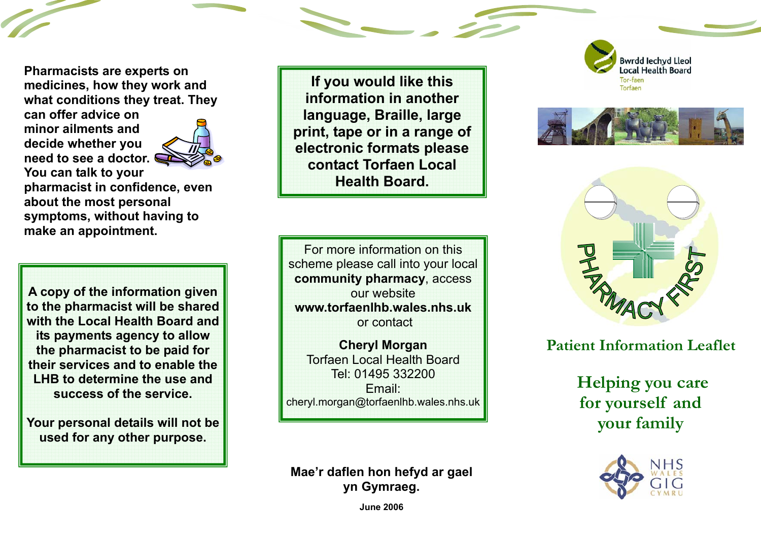**Pharmacists are experts on medicines, how they work and what conditions they treat. They** 

**can offer advice on minor ailments and decide whether you need to see a doctor. You can talk to your** 



**pharmacist in confidence, even about the most personal symptoms, without having to make an appointment.** 

**A copy of the information given to the pharmacist will be shared with the Local Health Board and its payments agency to allow the pharmacist to be paid for their services and to enable the LHB to determine the use and success of the service.** 

**Your personal details will not be used for any other purpose.** 

**If you would like this information in another language, Braille, large print, tape or in a range of electronic formats please contact Torfaen Local Health Board.** 

For more information on this scheme please call into your local **community pharmacy**, access our website **www.torfaenlhb.wales.nhs.uk**or contact

**Cheryl Morgan**  Torfaen Local Health Board Tel: 01495 332200 Email: cheryl.morgan@torfaenlhb.wales.nhs.uk

**Mae'r daflen hon hefyd ar gael yn Gymraeg.** 







#### **Patient Information Leaflet**

 **Helping you care for yourself and your family** 



**June 2006**